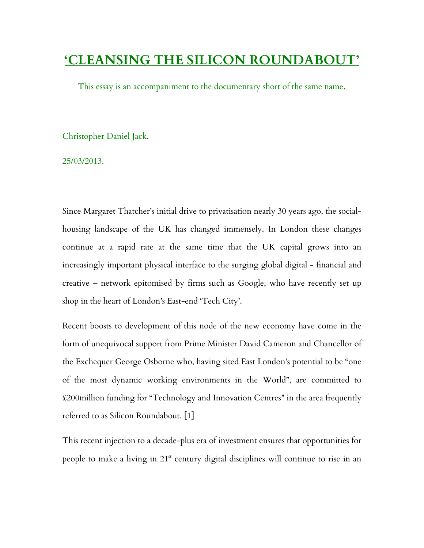# **'CLEANSING THE SILICON ROUNDABOUT'**

This essay is an accompaniment to the documentary short of the same name**.**

Christopher Daniel Jack.

25/03/2013.

Since Margaret Thatcher's initial drive to privatisation nearly 30 years ago, the socialhousing landscape of the UK has changed immensely. In London these changes continue at a rapid rate at the same time that the UK capital grows into an increasingly important physical interface to the surging global digital - financial and creative – network epitomised by firms such as Google, who have recently set up shop in the heart of London's East-end 'Tech City'.

Recent boosts to development of this node of the new economy have come in the form of unequivocal support from Prime Minister David Cameron and Chancellor of the Exchequer George Osborne who, having sited East London's potential to be "one of the most dynamic working environments in the World", are committed to £200million funding for "Technology and Innovation Centres" in the area frequently referred to as Silicon Roundabout. [1]

This recent injection to a decade-plus era of investment ensures that opportunities for people to make a living in  $21<sup>st</sup>$  century digital disciplines will continue to rise in an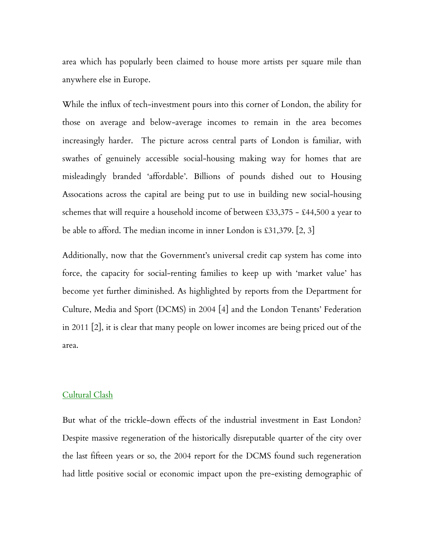area which has popularly been claimed to house more artists per square mile than anywhere else in Europe.

While the influx of tech-investment pours into this corner of London, the ability for those on average and below-average incomes to remain in the area becomes increasingly harder. The picture across central parts of London is familiar, with swathes of genuinely accessible social-housing making way for homes that are misleadingly branded 'affordable'. Billions of pounds dished out to Housing Assocations across the capital are being put to use in building new social-housing schemes that will require a household income of between £33,375 - £44,500 a year to be able to afford. The median income in inner London is £31,379. [2, 3]

Additionally, now that the Government's universal credit cap system has come into force, the capacity for social-renting families to keep up with 'market value' has become yet further diminished. As highlighted by reports from the Department for Culture, Media and Sport (DCMS) in 2004 [4] and the London Tenants' Federation in 2011 [2], it is clear that many people on lower incomes are being priced out of the area.

#### Cultural Clash

But what of the trickle-down effects of the industrial investment in East London? Despite massive regeneration of the historically disreputable quarter of the city over the last fifteen years or so, the 2004 report for the DCMS found such regeneration had little positive social or economic impact upon the pre-existing demographic of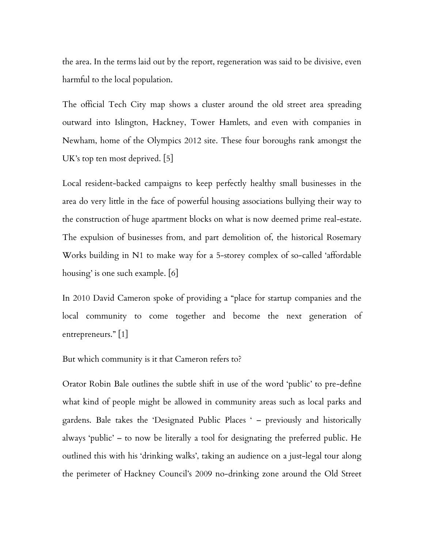the area. In the terms laid out by the report, regeneration was said to be divisive, even harmful to the local population.

The official Tech City map shows a cluster around the old street area spreading outward into Islington, Hackney, Tower Hamlets, and even with companies in Newham, home of the Olympics 2012 site. These four boroughs rank amongst the UK's top ten most deprived. [5]

Local resident-backed campaigns to keep perfectly healthy small businesses in the area do very little in the face of powerful housing associations bullying their way to the construction of huge apartment blocks on what is now deemed prime real-estate. The expulsion of businesses from, and part demolition of, the historical Rosemary Works building in N1 to make way for a 5-storey complex of so-called 'affordable housing' is one such example. [6]

In 2010 David Cameron spoke of providing a "place for startup companies and the local community to come together and become the next generation of entrepreneurs." [1]

But which community is it that Cameron refers to?

Orator Robin Bale outlines the subtle shift in use of the word 'public' to pre-define what kind of people might be allowed in community areas such as local parks and gardens. Bale takes the 'Designated Public Places ' – previously and historically always 'public' – to now be literally a tool for designating the preferred public. He outlined this with his 'drinking walks', taking an audience on a just-legal tour along the perimeter of Hackney Council's 2009 no-drinking zone around the Old Street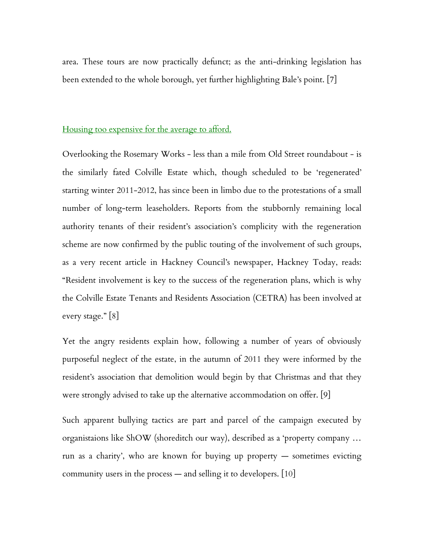area. These tours are now practically defunct; as the anti-drinking legislation has been extended to the whole borough, yet further highlighting Bale's point. [7]

#### Housing too expensive for the average to afford.

Overlooking the Rosemary Works - less than a mile from Old Street roundabout - is the similarly fated Colville Estate which, though scheduled to be 'regenerated' starting winter 2011-2012, has since been in limbo due to the protestations of a small number of long-term leaseholders. Reports from the stubbornly remaining local authority tenants of their resident's association's complicity with the regeneration scheme are now confirmed by the public touting of the involvement of such groups, as a very recent article in Hackney Council's newspaper, Hackney Today, reads: "Resident involvement is key to the success of the regeneration plans, which is why the Colville Estate Tenants and Residents Association (CETRA) has been involved at every stage." [8]

Yet the angry residents explain how, following a number of years of obviously purposeful neglect of the estate, in the autumn of 2011 they were informed by the resident's association that demolition would begin by that Christmas and that they were strongly advised to take up the alternative accommodation on offer. [9]

Such apparent bullying tactics are part and parcel of the campaign executed by organistaions like ShOW (shoreditch our way), described as a 'property company … run as a charity', who are known for buying up property — sometimes evicting community users in the process — and selling it to developers. [10]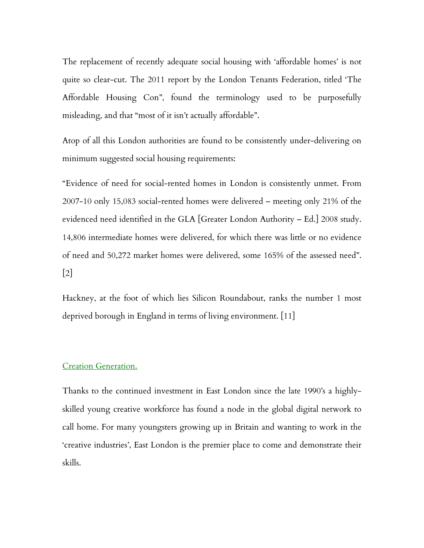The replacement of recently adequate social housing with 'affordable homes' is not quite so clear-cut. The 2011 report by the London Tenants Federation, titled 'The Affordable Housing Con", found the terminology used to be purposefully misleading, and that "most of it isn't actually affordable".

Atop of all this London authorities are found to be consistently under-delivering on minimum suggested social housing requirements:

"Evidence of need for social-rented homes in London is consistently unmet. From 2007-10 only 15,083 social-rented homes were delivered – meeting only 21% of the evidenced need identified in the GLA [Greater London Authority – Ed.] 2008 study. 14,806 intermediate homes were delivered, for which there was little or no evidence of need and 50,272 market homes were delivered, some 165% of the assessed need". [2]

Hackney, at the foot of which lies Silicon Roundabout, ranks the number 1 most deprived borough in England in terms of living environment. [11]

## Creation Generation.

Thanks to the continued investment in East London since the late 1990's a highlyskilled young creative workforce has found a node in the global digital network to call home. For many youngsters growing up in Britain and wanting to work in the 'creative industries', East London is the premier place to come and demonstrate their skills.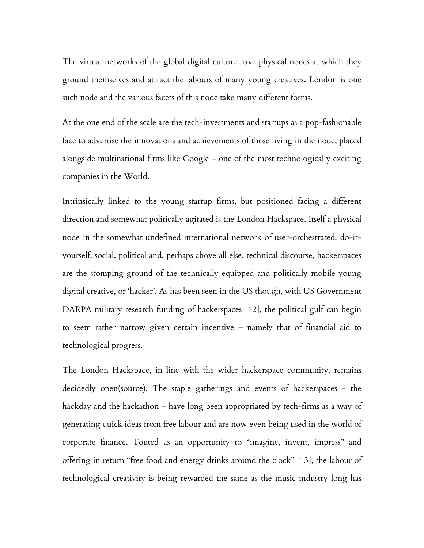The virtual networks of the global digital culture have physical nodes at which they ground themselves and attract the labours of many young creatives. London is one such node and the various facets of this node take many different forms.

At the one end of the scale are the tech-investments and startups as a pop-fashionable face to advertise the innovations and achievements of those living in the node, placed alongside multinational firms like Google – one of the most technologically exciting companies in the World.

Intrinsically linked to the young startup firms, but positioned facing a different direction and somewhat politically agitated is the London Hackspace. Itself a physical node in the somewhat undefined international network of user-orchestrated, do-ityourself, social, political and, perhaps above all else, technical discourse, hackerspaces are the stomping ground of the technically equipped and politically mobile young digital creative, or 'hacker'. As has been seen in the US though, with US Government DARPA military research funding of hackerspaces [12], the political gulf can begin to seem rather narrow given certain incentive – namely that of financial aid to technological progress.

The London Hackspace, in line with the wider hackerspace community, remains decidedly open(source). The staple gatherings and events of hackerspaces - the hackday and the hackathon – have long been appropriated by tech-firms as a way of generating quick ideas from free labour and are now even being used in the world of corporate finance. Touted as an opportunity to "imagine, invent, impress" and offering in return "free food and energy drinks around the clock" [13], the labour of technological creativity is being rewarded the same as the music industry long has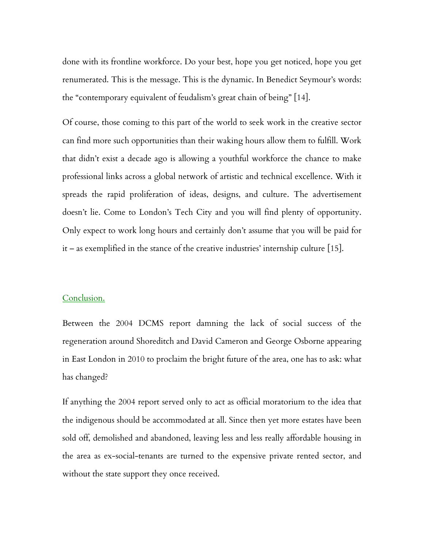done with its frontline workforce. Do your best, hope you get noticed, hope you get renumerated. This is the message. This is the dynamic. In Benedict Seymour's words: the "contemporary equivalent of feudalism's great chain of being" [14].

Of course, those coming to this part of the world to seek work in the creative sector can find more such opportunities than their waking hours allow them to fulfill. Work that didn't exist a decade ago is allowing a youthful workforce the chance to make professional links across a global network of artistic and technical excellence. With it spreads the rapid proliferation of ideas, designs, and culture. The advertisement doesn't lie. Come to London's Tech City and you will find plenty of opportunity. Only expect to work long hours and certainly don't assume that you will be paid for it – as exemplified in the stance of the creative industries' internship culture [15].

### Conclusion.

Between the 2004 DCMS report damning the lack of social success of the regeneration around Shoreditch and David Cameron and George Osborne appearing in East London in 2010 to proclaim the bright future of the area, one has to ask: what has changed?

If anything the 2004 report served only to act as official moratorium to the idea that the indigenous should be accommodated at all. Since then yet more estates have been sold off, demolished and abandoned, leaving less and less really affordable housing in the area as ex-social-tenants are turned to the expensive private rented sector, and without the state support they once received.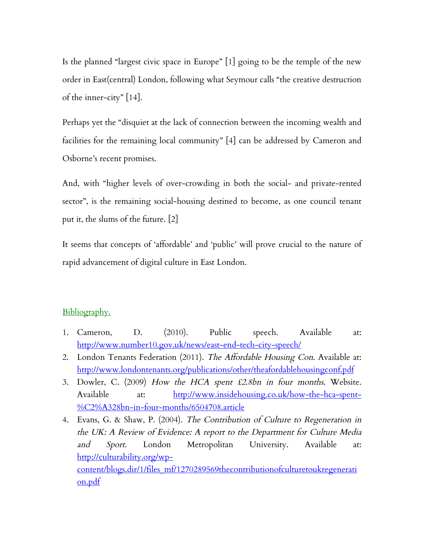Is the planned "largest civic space in Europe" [1] going to be the temple of the new order in East(central) London, following what Seymour calls "the creative destruction of the inner-city" [14].

Perhaps yet the "disquiet at the lack of connection between the incoming wealth and facilities for the remaining local community" [4] can be addressed by Cameron and Osborne's recent promises.

And, with "higher levels of over-crowding in both the social- and private-rented sector", is the remaining social-housing destined to become, as one council tenant put it, the slums of the future. [2]

It seems that concepts of 'affordable' and 'public' will prove crucial to the nature of rapid advancement of digital culture in East London.

## Bibliography.

- 1. Cameron, D. (2010). Public speech. Available at: http://www.number10.gov.uk/news/east-end-tech-city-speech/
- 2. London Tenants Federation (2011). The Affordable Housing Con. Available at: http://www.londontenants.org/publications/other/theafordablehousingconf.pdf
- 3. Dowler, C. (2009) How the HCA spent £2.8bn in four months. Website. Available at: http://www.insidehousing.co.uk/how-the-hca-spent-%C2%A328bn-in-four-months/6504708.article
- 4. Evans, G. & Shaw, P. (2004). The Contribution of Culture to Regeneration in the UK: A Review of Evidence: A report to the Department for Culture Media and Sport. London Metropolitan University. Available at: http://culturability.org/wpcontent/blogs.dir/1/files\_mf/1270289569thecontributionofculturetoukregenerati on.pdf